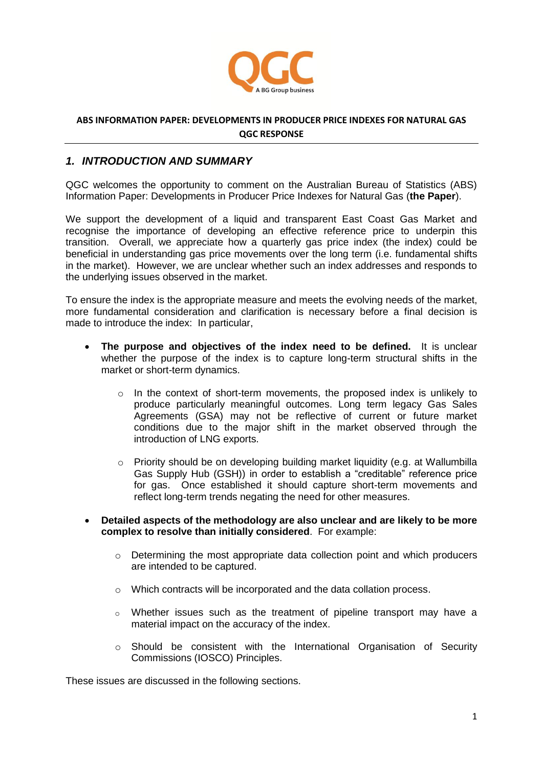

## **ABS INFORMATION PAPER: DEVELOPMENTS IN PRODUCER PRICE INDEXES FOR NATURAL GAS QGC RESPONSE**

## *1. INTRODUCTION AND SUMMARY*

QGC welcomes the opportunity to comment on the Australian Bureau of Statistics (ABS) Information Paper: Developments in Producer Price Indexes for Natural Gas (**the Paper**).

We support the development of a liquid and transparent East Coast Gas Market and recognise the importance of developing an effective reference price to underpin this transition. Overall, we appreciate how a quarterly gas price index (the index) could be beneficial in understanding gas price movements over the long term (i.e. fundamental shifts in the market). However, we are unclear whether such an index addresses and responds to the underlying issues observed in the market.

To ensure the index is the appropriate measure and meets the evolving needs of the market, more fundamental consideration and clarification is necessary before a final decision is made to introduce the index: In particular,

- **The purpose and objectives of the index need to be defined.** It is unclear whether the purpose of the index is to capture long-term structural shifts in the market or short-term dynamics.
	- o In the context of short-term movements, the proposed index is unlikely to produce particularly meaningful outcomes. Long term legacy Gas Sales Agreements (GSA) may not be reflective of current or future market conditions due to the major shift in the market observed through the introduction of LNG exports.
	- $\circ$  Priority should be on developing building market liquidity (e.g. at Wallumbilla Gas Supply Hub (GSH)) in order to establish a "creditable" reference price for gas. Once established it should capture short-term movements and reflect long-term trends negating the need for other measures.
- **Detailed aspects of the methodology are also unclear and are likely to be more complex to resolve than initially considered**. For example:
	- $\circ$  Determining the most appropriate data collection point and which producers are intended to be captured.
	- o Which contracts will be incorporated and the data collation process.
	- o Whether issues such as the treatment of pipeline transport may have a material impact on the accuracy of the index.
	- $\circ$  Should be consistent with the International Organisation of Security Commissions (IOSCO) Principles.

These issues are discussed in the following sections.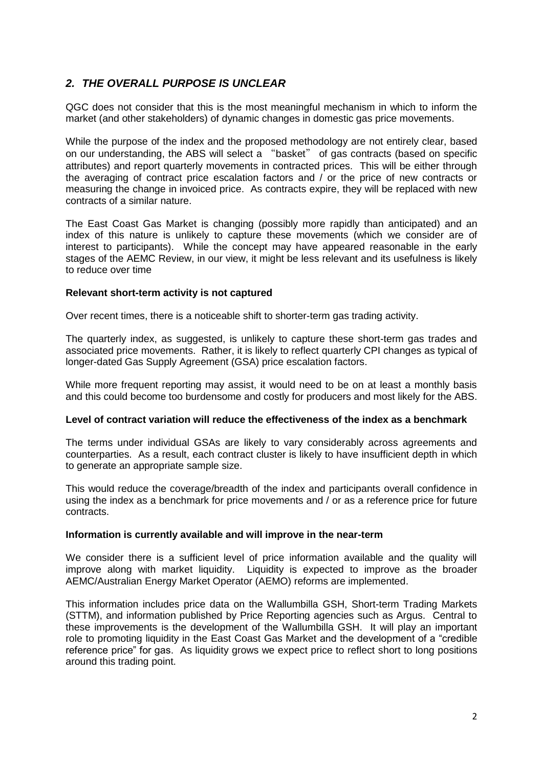# *2. THE OVERALL PURPOSE IS UNCLEAR*

QGC does not consider that this is the most meaningful mechanism in which to inform the market (and other stakeholders) of dynamic changes in domestic gas price movements.

While the purpose of the index and the proposed methodology are not entirely clear, based on our understanding, the ABS will select a "basket" of gas contracts (based on specific attributes) and report quarterly movements in contracted prices. This will be either through the averaging of contract price escalation factors and / or the price of new contracts or measuring the change in invoiced price. As contracts expire, they will be replaced with new contracts of a similar nature.

The East Coast Gas Market is changing (possibly more rapidly than anticipated) and an index of this nature is unlikely to capture these movements (which we consider are of interest to participants). While the concept may have appeared reasonable in the early stages of the AEMC Review, in our view, it might be less relevant and its usefulness is likely to reduce over time

### **Relevant short-term activity is not captured**

Over recent times, there is a noticeable shift to shorter-term gas trading activity.

The quarterly index, as suggested, is unlikely to capture these short-term gas trades and associated price movements. Rather, it is likely to reflect quarterly CPI changes as typical of longer-dated Gas Supply Agreement (GSA) price escalation factors.

While more frequent reporting may assist, it would need to be on at least a monthly basis and this could become too burdensome and costly for producers and most likely for the ABS.

#### **Level of contract variation will reduce the effectiveness of the index as a benchmark**

The terms under individual GSAs are likely to vary considerably across agreements and counterparties. As a result, each contract cluster is likely to have insufficient depth in which to generate an appropriate sample size.

This would reduce the coverage/breadth of the index and participants overall confidence in using the index as a benchmark for price movements and / or as a reference price for future contracts.

#### **Information is currently available and will improve in the near-term**

We consider there is a sufficient level of price information available and the quality will improve along with market liquidity. Liquidity is expected to improve as the broader AEMC/Australian Energy Market Operator (AEMO) reforms are implemented.

This information includes price data on the Wallumbilla GSH, Short-term Trading Markets (STTM), and information published by Price Reporting agencies such as Argus. Central to these improvements is the development of the Wallumbilla GSH. It will play an important role to promoting liquidity in the East Coast Gas Market and the development of a "credible reference price" for gas. As liquidity grows we expect price to reflect short to long positions around this trading point.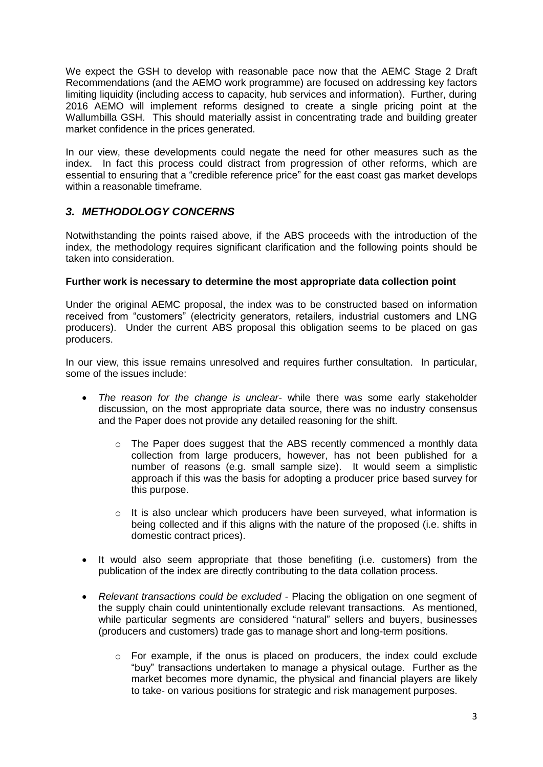We expect the GSH to develop with reasonable pace now that the AEMC Stage 2 Draft Recommendations (and the AEMO work programme) are focused on addressing key factors limiting liquidity (including access to capacity, hub services and information). Further, during 2016 AEMO will implement reforms designed to create a single pricing point at the Wallumbilla GSH. This should materially assist in concentrating trade and building greater market confidence in the prices generated.

In our view, these developments could negate the need for other measures such as the index. In fact this process could distract from progression of other reforms, which are essential to ensuring that a "credible reference price" for the east coast gas market develops within a reasonable timeframe

## *3. METHODOLOGY CONCERNS*

Notwithstanding the points raised above, if the ABS proceeds with the introduction of the index, the methodology requires significant clarification and the following points should be taken into consideration.

## **Further work is necessary to determine the most appropriate data collection point**

Under the original AEMC proposal, the index was to be constructed based on information received from "customers" (electricity generators, retailers, industrial customers and LNG producers). Under the current ABS proposal this obligation seems to be placed on gas producers.

In our view, this issue remains unresolved and requires further consultation. In particular, some of the issues include:

- *The reason for the change is unclear* while there was some early stakeholder discussion, on the most appropriate data source, there was no industry consensus and the Paper does not provide any detailed reasoning for the shift.
	- o The Paper does suggest that the ABS recently commenced a monthly data collection from large producers, however, has not been published for a number of reasons (e.g. small sample size). It would seem a simplistic approach if this was the basis for adopting a producer price based survey for this purpose.
	- o It is also unclear which producers have been surveyed, what information is being collected and if this aligns with the nature of the proposed (i.e. shifts in domestic contract prices).
- It would also seem appropriate that those benefiting (i.e. customers) from the publication of the index are directly contributing to the data collation process.
- *Relevant transactions could be excluded* Placing the obligation on one segment of the supply chain could unintentionally exclude relevant transactions. As mentioned, while particular segments are considered "natural" sellers and buyers, businesses (producers and customers) trade gas to manage short and long-term positions.
	- o For example, if the onus is placed on producers, the index could exclude "buy" transactions undertaken to manage a physical outage. Further as the market becomes more dynamic, the physical and financial players are likely to take- on various positions for strategic and risk management purposes.